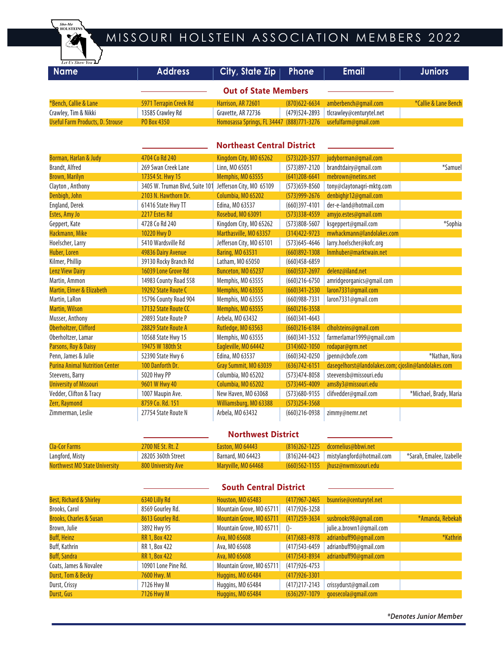

## MISSOURI HOLSTEIN ASSOCIATION MEMBERS 2022

| Let Us Show You L<br><b>Name</b>        | <b>Address</b>                 | <b>City, State Zip</b>                    | <b>Phone</b>      | <b>Email</b>                                        | <b>Juniors</b>         |  |  |
|-----------------------------------------|--------------------------------|-------------------------------------------|-------------------|-----------------------------------------------------|------------------------|--|--|
| <b>Out of State Members</b>             |                                |                                           |                   |                                                     |                        |  |  |
| *Bench, Callie & Lane                   | 5971 Terrapin Creek Rd         | Harrison, AR 72601                        | $(870)622 - 6634$ | amberbench@gmail.com                                | *Callie & Lane Bench   |  |  |
| Crawley, Tim & Nikki                    | 13585 Crawley Rd               | Gravette, AR 72736                        | (479) 524 - 2893  | tlcrawley@centurytel.net                            |                        |  |  |
| <b>Useful Farm Products, D. Strouse</b> | PO Box 4350                    | Homosassa Springs, FL 34447 (888)771-3276 |                   | usefulfarm@qmail.com                                |                        |  |  |
|                                         |                                | <b>Northeast Central District</b>         |                   |                                                     |                        |  |  |
| Borman, Harlan & Judy                   | 4704 Co Rd 240                 | Kingdom City, MO 65262                    | $(573)$ 220-3577  | judyborman@gmail.com                                |                        |  |  |
| Brandt, Alfred                          | 269 Swan Creek Lane            | Linn, MO 65051                            | $(573)897 - 2120$ | brandtdairy@gmail.com                               | *Samuel                |  |  |
| <b>Brown, Marilyn</b>                   | 17354 St. Hwy 15               | Memphis, MO 63555                         | $(641)208 - 6641$ | mebrown@netins.net                                  |                        |  |  |
| Clayton, Anthony                        | 3405 W. Truman Blvd, Suite 101 | Jefferson City, MO 65109                  | $(573)659 - 8560$ | tony@claytonagri-mktg.com                           |                        |  |  |
| Denbigh, John                           | 2103 N. Hawthorn Dr.           | Columbia, MO 65202                        | $(573)999 - 2676$ | denbighjr12@gmail.com                               |                        |  |  |
| England, Derek                          | 61416 State Hwy TT             | Edina, MO 63537                           | $(660)397 - 4101$ | der-e-land@hotmail.com                              |                        |  |  |
| Estes, Amy Jo                           | 2217 Estes Rd                  | Rosebud, MO 63091                         | $(573)338 - 4559$ | amyjo.estes@gmail.com                               |                        |  |  |
| Geppert, Kate                           | 4728 Co Rd 240                 | Kingdom City, MO 65262                    | (573)808-5607     | ksgeppert@gmail.com                                 | *Sophia                |  |  |
| Hackmann, Mike                          | 10220 Hwy D                    | Marthasville, MO 63357                    | $(314)422 - 9723$ | mwhackmann@landolakes.com                           |                        |  |  |
| Hoelscher, Larry                        | 5410 Wardsville Rd             | Jefferson City, MO 65101                  | $(573)645 - 4646$ | larry.hoelscher@kofc.org                            |                        |  |  |
| Huber, Loren                            | 49836 Dairy Avenue             | <b>Baring, MO 63531</b>                   | $(660)892 - 1308$ | Inmhuber@marktwain.net                              |                        |  |  |
| Kilmer, Phillip                         | 39130 Rocky Branch Rd          | Latham, MO 65050                          | $(660)458 - 6859$ |                                                     |                        |  |  |
| <b>Lenz View Dairy</b>                  | 16039 Lone Grove Rd            | Bunceton, MO 65237                        | $(660)$ 537-2697  | delenz@iland.net                                    |                        |  |  |
| Martin, Ammon                           | 14983 County Road 558          | Memphis, MO 63555                         | $(660)$ 216-6750  | amridgeorganics@gmail.com                           |                        |  |  |
| Martin, Elmer & Elizabeth               | 19292 State Route C            | Memphis, MO 63555                         | $(660)341 - 2530$ | laron7331@gmail.com                                 |                        |  |  |
| Martin, LaRon                           | 15796 County Road 904          | Memphis, MO 63555                         | $(660)988 - 7331$ | laron7331@gmail.com                                 |                        |  |  |
| <b>Martin, Wilson</b>                   | 17132 State Route CC           | Memphis, MO 63555                         | $(660)$ 216-3558  |                                                     |                        |  |  |
| Musser, Anthony                         | 29893 State Route P            | Arbela, MO 63432                          | $(660)341 - 4643$ |                                                     |                        |  |  |
| Oberholtzer, Clifford                   | 28829 State Route A            | Rutledge, MO 63563                        | $(660)$ 216-6184  | clholsteins@gmail.com                               |                        |  |  |
| Oberholtzer, Lamar                      | 10568 State Hwy 15             | Memphis, MO 63555                         | $(660)341-3532$   | farmerlamar1999@gmail.com                           |                        |  |  |
| Parsons, Roy & Daisy                    | 19475 W 180th St               | Eagleville, MO 64442                      | $(314)602 - 1050$ | rodapar@qrm.net                                     |                        |  |  |
| Penn, James & Julie                     | 52390 State Hwy 6              | Edina, MO 63537                           | $(660)342 - 0250$ | jpenn@cbofe.com                                     | *Nathan, Nora          |  |  |
| <b>Purina Animal Nutrition Center</b>   | 100 Danforth Dr.               | Gray Summit, MO 63039                     | $(636)742 - 6151$ | dasegelhorst@landolakes.com; cjoslin@landolakes.com |                        |  |  |
| Steevens, Barry                         | 5020 Hwy PP                    | Columbia, MO 65202                        | $(573)474 - 8058$ | steevensb@missouri.edu                              |                        |  |  |
| <b>University of Missouri</b>           | 9601 W Hwy 40                  | Columbia, MO 65202                        | $(573)445 - 4009$ | ams8y3@missouri.edu                                 |                        |  |  |
| Vedder, Clifton & Tracy                 | 1007 Maupin Ave.               | New Haven, MO 63068                       | $(573)680 - 9155$ | clifvedder@qmail.com                                | *Michael, Brady, Maria |  |  |
| <b>Zerr, Raymond</b>                    | 8759 Co. Rd. 151               | Williamsburg, MO 63388                    | $(573)$ 254-3568  |                                                     |                        |  |  |
| Zimmerman, Leslie                       | 27754 State Route N            | Arbela, MO 63432                          | $(660)$ 216-0938  | zimmy@nemr.net                                      |                        |  |  |

### **Northwest District**

| Cla-Cor Farms                        | <b>2700 NE St. Rt. Z</b> | Easton, MO 64443    | $(816)$ 262-1225 dcornelius@bbwi.net      |                          |
|--------------------------------------|--------------------------|---------------------|-------------------------------------------|--------------------------|
| Langford, Misty                      | 28205 360th Street       | Barnard, MO 64423   | (816)244-0423   mistylangford@hotmail.com | *Sarah, Emalee, Izabelle |
| <b>Northwest MO State University</b> | 800 University Ave       | Maryville, MO 64468 | $(660)$ 562-1155 ihusz@nwmissouri.edu     |                          |

## **South Central District**

| Best, Richard & Shirley            | 6340 Lilly Rd        | <b>Houston, MO 65483</b> | $(417)967 - 2465$ | bsunrise@centurytel.net  |                  |
|------------------------------------|----------------------|--------------------------|-------------------|--------------------------|------------------|
| Brooks, Carol                      | 8569 Gourley Rd.     | Mountain Grove, MO 65711 | $(417)926 - 3258$ |                          |                  |
| <b>Brooks, Charles &amp; Susan</b> | 8613 Gourley Rd.     | Mountain Grove, MO 65711 | $(417)$ 259-3634  | susbrooks98@gmail.com    | *Amanda, Rebekah |
| Brown, Julie                       | 3892 Hwy 95          | Mountain Grove, MO 65711 | $() -$            | julie.a.brown1@gmail.com |                  |
| <b>Buff, Heinz</b>                 | <b>RR 1, Box 422</b> | Ava, MO 65608            | $(417)683 - 4978$ | adrianbuff90@qmail.com   | *Kathrin         |
| Buff, Kathrin                      | RR 1, Box 422        | Ava, MO 65608            | $(417)543 - 6459$ | adrianbuff90@qmail.com   |                  |
| <b>Buff, Sandra</b>                | <b>RR 1, Box 422</b> | Ava, MO 65608            | $(417)543 - 8934$ | adrianbuff90@gmail.com   |                  |
| Coats, James & Novalee             | 10901 Lone Pine Rd.  | Mountain Grove, MO 65711 | $(417)926 - 4753$ |                          |                  |
| Durst, Tom & Becky                 | 7600 Hwy. M          | Huggins, MO 65484        | $(417)926 - 3301$ |                          |                  |
| Durst, Crissy                      | 7126 Hwy M           | Huggins, MO 65484        | $(417)$ 217-2143  | crissydurst@gmail.com    |                  |
| Durst, Gus                         | <b>7126 Hwy M</b>    | <b>Huggins, MO 65484</b> | $(636)$ 297-1079  | goosecola@gmail.com      |                  |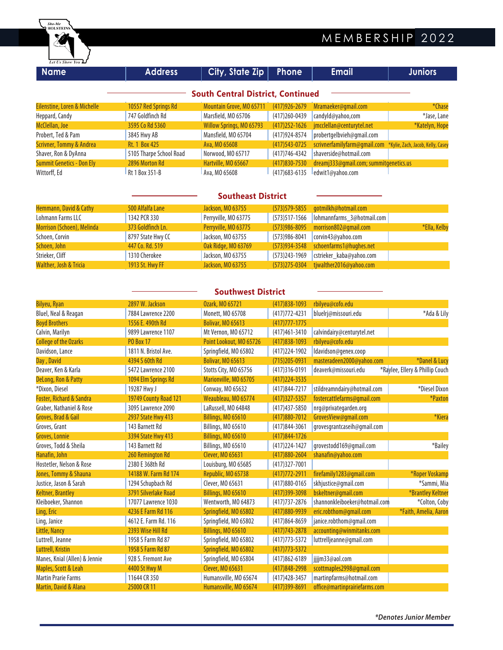

| <b>Name</b>                      | <b>Address</b>          | City, State Zip                          | Phone             | <b>Email</b>                           | <b>Juniors</b>                    |
|----------------------------------|-------------------------|------------------------------------------|-------------------|----------------------------------------|-----------------------------------|
|                                  |                         | <b>South Central District, Continued</b> |                   |                                        |                                   |
| Eilenstine, Loren & Michelle     | 10557 Red Springs Rd    | Mountain Grove, MO 65711                 | $(417)926 - 2679$ | Mramaeker@qmail.com                    | *Chase                            |
| Heppard, Candy                   | 747 Goldfinch Rd        | Marsfield, MO 65706                      | (417) 260-0439    | candyld@yahoo,com                      | *Jase, Lane                       |
| McClellan, Joe                   | 3595 Co Rd 5360         | Willow Springs, MO 65793                 | $(417)$ 252-1626  | jmcclellan@centurytel.net              | *Katelyn, Hope                    |
| Probert, Ted & Pam               | 3845 Hwy AB             | Mansfield, MO 65704                      | (417) 924-8574    | probertgelbvieh@gmail.com              |                                   |
| Scrivner, Tommy & Andrea         | Rt. 1 Box 425           | Ava, MO 65608                            | $(417)543 - 0725$ | scrivnerfamilyfarm@gmail.com           | *Kylie, Zach, Jacob, Kelly, Casey |
| Shaver, Ron & DyAnna             | 5105 Tharpe School Road | Norwood, MO 65717                        | (417) 746-4342    | shaverside@hotmail.com                 |                                   |
| <b>Summit Genetics - Don Ely</b> | 2896 Morton Rd          | Hartville, MO 65667                      | $(417)830 - 7530$ | dreamj333@gmail.com; summitgenetics.us |                                   |
| Wittorff, Ed                     | Rt 1 Box 351-B          | Ava, MO 65608                            | $(417)683 - 6135$ | edwit1@yahoo.com                       |                                   |

|                            | <b>Southeast District</b> |                      |                   |                            |              |
|----------------------------|---------------------------|----------------------|-------------------|----------------------------|--------------|
| Hemmann, David & Cathy     | 500 Alfalfa Lane          | Jackson, MO 63755    | $(573)579 - 5855$ | gotmilkh@hotmail.com       |              |
| Lohmann Farms LLC          | 1342 PCR 330              | Perryville, MO 63775 | (573)517-1566     | lohmannfarms_3@hotmail.com |              |
| Morrison (Schoen), Melinda | 373 Goldfinch Ln.         | Perryville, MO 63775 | $(573)986 - 8095$ | morrison802@qmail.com      | *Ella, Kelby |
| Schoen, Corvin             | 8797 State Hwy CC         | Jackson, MO 63755    | $(573)986 - 8041$ | corvin43@yahoo.com         |              |
| Schoen, John               | 447 Co. Rd. 519           | Oak Ridge, MO 63769  | $(573)934 - 3548$ | schoenfarms1@hughes.net    |              |
| Strieker, Cliff            | 1310 Cherokee             | Jackson, MO 63755    | (573)243-1969     | cstrieker_kaba@yahoo.com   |              |
| Walther, Josh & Tricia     | <b>1913 St. Hwy FF</b>    | Jackson, MO 63755    | $(573)$ 275-0304  | tjwalther2016@yahoo.com    |              |

| <b>Southwest District</b>           |                       |                          |                   |                               |                                 |  |
|-------------------------------------|-----------------------|--------------------------|-------------------|-------------------------------|---------------------------------|--|
| <b>Bilyeu, Ryan</b>                 | 2897 W. Jackson       | <b>Ozark, MO 65721</b>   | $(417)838 - 1093$ | rbilyeu@cofo.edu              |                                 |  |
| Bluel, Neal & Reagan                | 7884 Lawrence 2200    | Monett, MO 65708         | $(417)772 - 4231$ | bluelrj@missouri.edu          | *Ada & Lily                     |  |
| <b>Boyd Brothers</b>                | 1556 E. 490th Rd      | <b>Bolivar, MO 65613</b> | $(417)777 - 1775$ |                               |                                 |  |
| Calvin, Marilyn                     | 9899 Lawrence 1107    | Mt Vernon, MO 65712      | $(417)461 - 3410$ | calvindairy@centurytel.net    |                                 |  |
| <b>College of the Ozarks</b>        | <b>PO Box 17</b>      | Point Lookout, MO 65726  | $(417)838 - 1093$ | rbilyeu@cofo.edu              |                                 |  |
| Davidson, Lance                     | 1811 N. Bristol Ave.  | Springfield, MO 65802    | (417) 224-1902    | ldavidson@genex.coop          |                                 |  |
| Day, David                          | 4394 S 60th Rd        | <b>Bolivar, MO 65613</b> | $(715)205 - 0931$ | masteradeen2000@yahoo.com     | *Danel & Lucy                   |  |
| Deaver, Ken & Karla                 | 5472 Lawrence 2100    | Stotts City, MO 65756    | $(417)316-0191$   | deaverk@missouri.edu          | *Raylee, Ellery & Phillip Couch |  |
| DeLong, Ron & Patty                 | 1094 Elm Springs Rd   | Marionville, MO 65705    | $(417)$ 224-3535  |                               |                                 |  |
| *Dixon, Diesel                      | 19287 Hwy J           | Conway, MO 65632         | $(417)844 - 7217$ | stildreamndairy@hotmail.com   | *Diesel Dixon                   |  |
| <b>Foster, Richard &amp; Sandra</b> | 19749 County Road 121 | Weaubleau, MO 65774      | $(417)327 - 5357$ | fostercattlefarms@qmail.com   | *Paxton                         |  |
| Graber, Nathaniel & Rose            | 3095 Lawrence 2090    | LaRussell, MO 64848      | $(417)437 - 5850$ | nrg@privategarden.org         |                                 |  |
| Groves, Brad & Gail                 | 2937 State Hwy 413    | Billings, MO 65610       | $(417)880 - 7012$ | GrovesView@gmail.com          | *Kiera                          |  |
| Groves, Grant                       | 143 Barnett Rd        | Billings, MO 65610       | $(417)844 - 3061$ | grovesgrantcaseih@gmail.com   |                                 |  |
| <b>Groves, Lonnie</b>               | 3394 State Hwy 413    | Billings, MO 65610       | $(417)844 - 1726$ |                               |                                 |  |
| Groves, Todd & Sheila               | 143 Barnett Rd        | Billings, MO 65610       | $(417)$ 224-1427  | grovestodd169@gmail.com       | *Bailey                         |  |
| Hanafin, John                       | 260 Remington Rd      | Clever, MO 65631         | $(417)880 - 2604$ | shanafin@yahoo.com            |                                 |  |
| Hostetler, Nelson & Rose            | 2380 E 368th Rd       | Louisburg, MO 65685      | $(417)327 - 7001$ |                               |                                 |  |
| Jones, Tommy & Shauna               | 14188 W. Farm Rd 174  | Republic, MO 65738       | $(417)772 - 2911$ | firefamily1283@qmail.com      | *Roper Voskamp                  |  |
| Justice, Jason & Sarah              | 1294 Schupbach Rd     | Clever, MO 65631         | $(417)880 - 0165$ | skhjustice@gmail.com          | *Sammi, Mia                     |  |
| <b>Keltner, Brantley</b>            | 3791 Silverlake Road  | Billings, MO 65610       | $(417)399 - 3098$ | bskeltner@gmail.com           | *Brantley Keltner               |  |
| Kleiboeker, Shannon                 | 17077 Lawrence 1030   | Wentworth, MO 64873      | $(417)737 - 2876$ | shannonkleiboeker@hotmail.com | *Colton, Coby                   |  |
| Ling, Eric                          | 4236 E Farm Rd 116    | Springfield, MO 65802    | (417)880-9939     | eric.robthom@gmail.com        | *Faith, Amelia, Aaron           |  |
| Ling, Janice                        | 4612 E. Farm Rd. 116  | Springfield, MO 65802    | $(417)864 - 8659$ | janice.robthom@gmail.com      |                                 |  |
| Little, Nancy                       | 2393 Wise Hill Rd     | Billings, MO 65610       | $(417)743 - 2878$ | accounting@winmitanks.com     |                                 |  |
| Luttrell, Jeanne                    | 1958 S Farm Rd 87     | Springfield, MO 65802    | $(417)773 - 5372$ | luttrelljeanne@gmail.com      |                                 |  |
| <b>Luttrell, Kristin</b>            | 1958 S Farm Rd 87     | Springfield, MO 65802    | $(417)773 - 5372$ |                               |                                 |  |
| Manes, Knial (Allen) & Jennie       | 928 S. Fremont Ave    | Springfield, MO 65804    | (417) 862-6189    | jjjjm33@aol.com               |                                 |  |
| Maples, Scott & Leah                | 4400 St Hwy M         | Clever, MO 65631         | (417) 848-2998    | scottmaples2998@gmail.com     |                                 |  |
| <b>Martin Prarie Farms</b>          | 11644 CR 350          | Humansville, MO 65674    | $(417)428 - 3457$ | martinpfarms@hotmail.com      |                                 |  |
| Martin, David & Alana               | 25000 CR 11           | Humansville, MO 65674    | (417)399-8691     | office@martinprairiefarms.com |                                 |  |